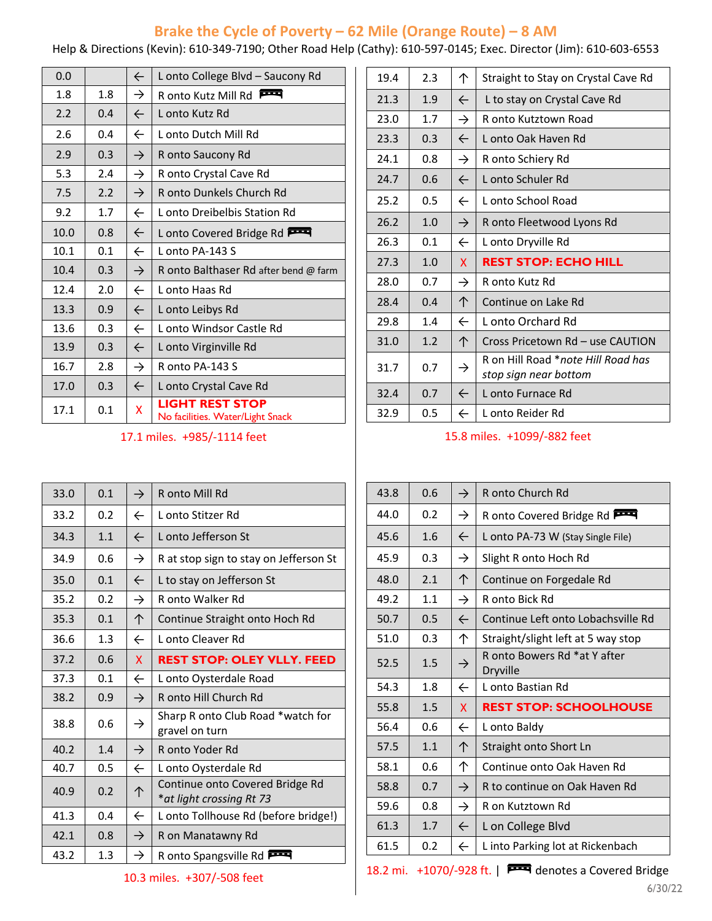## **Brake the Cycle of Poverty – 62 Mile (Orange Route) – 8 AM**

Help & Directions (Kevin): 610-349-7190; Other Road Help (Cathy): 610-597-0145; Exec. Director (Jim): 610-603-6553

| 0.0  |     | $\leftarrow$  | L onto College Blvd - Saucony Rd                           |
|------|-----|---------------|------------------------------------------------------------|
| 1.8  | 1.8 | $\rightarrow$ | R onto Kutz Mill Rd                                        |
| 2.2  | 0.4 | $\leftarrow$  | L onto Kutz Rd                                             |
| 2.6  | 0.4 | $\leftarrow$  | Lonto Dutch Mill Rd                                        |
| 2.9  | 0.3 | $\rightarrow$ | R onto Saucony Rd                                          |
| 5.3  | 2.4 | $\rightarrow$ | R onto Crystal Cave Rd                                     |
| 7.5  | 2.2 | $\rightarrow$ | R onto Dunkels Church Rd                                   |
| 9.2  | 1.7 | $\leftarrow$  | L onto Dreibelbis Station Rd                               |
| 10.0 | 0.8 | $\leftarrow$  | L onto Covered Bridge Rd                                   |
| 10.1 | 0.1 | $\leftarrow$  | L onto PA-143 S                                            |
| 10.4 | 0.3 | $\rightarrow$ | R onto Balthaser Rd after bend @ farm                      |
| 12.4 | 2.0 | $\leftarrow$  | L onto Haas Rd                                             |
| 13.3 | 0.9 | $\leftarrow$  | L onto Leibys Rd                                           |
| 13.6 | 0.3 | $\leftarrow$  | L onto Windsor Castle Rd                                   |
| 13.9 | 0.3 | $\leftarrow$  | L onto Virginville Rd                                      |
| 16.7 | 2.8 | $\rightarrow$ | R onto PA-143 S                                            |
| 17.0 | 0.3 | $\leftarrow$  | L onto Crystal Cave Rd                                     |
| 17.1 | 0.1 | x             | <b>LIGHT REST STOP</b><br>No facilities. Water/Light Snack |

## 17.1 miles. +985/-1114 feet

| 33.0 | 0.1 | $\rightarrow$ | R onto Mill Rd                                               |
|------|-----|---------------|--------------------------------------------------------------|
| 33.2 | 0.2 | $\leftarrow$  | L onto Stitzer Rd                                            |
| 34.3 | 1.1 | $\leftarrow$  | L onto Jefferson St                                          |
| 34.9 | 0.6 | $\rightarrow$ | R at stop sign to stay on Jefferson St                       |
| 35.0 | 0.1 | $\leftarrow$  | L to stay on Jefferson St                                    |
| 35.2 | 0.2 | $\rightarrow$ | R onto Walker Rd                                             |
| 35.3 | 0.1 | 个             | Continue Straight onto Hoch Rd                               |
| 36.6 | 1.3 | $\leftarrow$  | Lonto Cleaver Rd                                             |
| 37.2 | 0.6 | X             | <b>REST STOP: OLEY VLLY. FEED</b>                            |
| 37.3 | 0.1 | $\leftarrow$  | L onto Oysterdale Road                                       |
| 38.2 | 0.9 | $\rightarrow$ | R onto Hill Church Rd                                        |
| 38.8 | 0.6 | $\rightarrow$ | Sharp R onto Club Road *watch for<br>gravel on turn          |
| 40.2 | 1.4 | $\rightarrow$ | R onto Yoder Rd                                              |
| 40.7 | 0.5 | $\leftarrow$  | L onto Oysterdale Rd                                         |
| 40.9 | 0.2 | 个             | Continue onto Covered Bridge Rd<br>* at light crossing Rt 73 |
| 41.3 | 0.4 | $\leftarrow$  | L onto Tollhouse Rd (before bridge!)                         |
| 42.1 | 0.8 | $\rightarrow$ | R on Manatawny Rd                                            |
| 43.2 | 1.3 | $\rightarrow$ | R onto Spangsville Rd                                        |

| 19.4 | 2.3 | 个             | Straight to Stay on Crystal Cave Rd                         |
|------|-----|---------------|-------------------------------------------------------------|
| 21.3 | 1.9 | $\leftarrow$  | L to stay on Crystal Cave Rd                                |
| 23.0 | 1.7 | $\rightarrow$ | R onto Kutztown Road                                        |
| 23.3 | 0.3 | $\leftarrow$  | L onto Oak Haven Rd                                         |
| 24.1 | 0.8 | $\rightarrow$ | R onto Schiery Rd                                           |
| 24.7 | 0.6 | $\leftarrow$  | L onto Schuler Rd                                           |
| 25.2 | 0.5 | $\leftarrow$  | Lonto School Road                                           |
| 26.2 | 1.0 | $\rightarrow$ | R onto Fleetwood Lyons Rd                                   |
| 26.3 | 0.1 | $\leftarrow$  | L onto Dryville Rd                                          |
|      |     |               |                                                             |
| 27.3 | 1.0 | <b>X</b>      | <b>REST STOP: ECHO HILL</b>                                 |
| 28.0 | 0.7 | $\rightarrow$ | R onto Kutz Rd                                              |
| 28.4 | 0.4 | 个             | Continue on Lake Rd                                         |
| 29.8 | 1.4 | $\leftarrow$  | L onto Orchard Rd                                           |
| 31.0 | 1.2 | 个             | Cross Pricetown Rd - use CAUTION                            |
| 31.7 | 0.7 | $\rightarrow$ | R on Hill Road *note Hill Road has<br>stop sign near bottom |
| 32.4 | 0.7 | $\leftarrow$  | L onto Furnace Rd                                           |

## 15.8 miles. +1099/-882 feet

| 43.8 | 0.6 | $\rightarrow$ | R onto Church Rd                         |
|------|-----|---------------|------------------------------------------|
| 44.0 | 0.2 | $\rightarrow$ | R onto Covered Bridge Rd                 |
| 45.6 | 1.6 | $\leftarrow$  | L onto PA-73 W (Stay Single File)        |
| 45.9 | 0.3 | $\rightarrow$ | Slight R onto Hoch Rd                    |
| 48.0 | 2.1 | 个             | Continue on Forgedale Rd                 |
| 49.2 | 1.1 | $\rightarrow$ | R onto Bick Rd                           |
| 50.7 | 0.5 | $\leftarrow$  | Continue Left onto Lobachsville Rd       |
| 51.0 | 0.3 | 个             | Straight/slight left at 5 way stop       |
| 52.5 | 1.5 | $\rightarrow$ | R onto Bowers Rd *at Y after<br>Dryville |
| 54.3 | 1.8 | $\leftarrow$  | L onto Bastian Rd                        |
| 55.8 | 1.5 | <b>X</b>      | <b>REST STOP: SCHOOLHOUSE</b>            |
| 56.4 | 0.6 | $\leftarrow$  | L onto Baldy                             |
| 57.5 | 1.1 | 个             | Straight onto Short Ln                   |
| 58.1 | 0.6 | 个             | Continue onto Oak Haven Rd               |
| 58.8 | 0.7 | $\rightarrow$ | R to continue on Oak Haven Rd            |
| 59.6 | 0.8 | $\rightarrow$ | R on Kutztown Rd                         |
| 61.3 | 1.7 | $\leftarrow$  | L on College Blvd                        |
| 61.5 | 0.2 | $\leftarrow$  | L into Parking lot at Rickenbach         |

18.2 mi. +1070/-928 ft. | **PARK** denotes a Covered Bridge